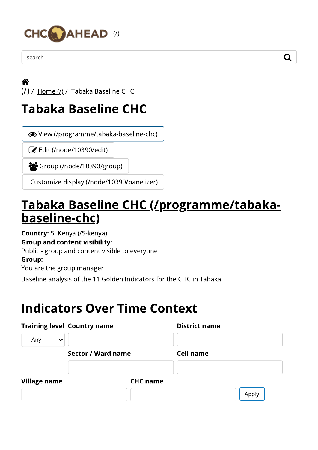

search  $\qquad \qquad \mathsf{Q}$ 





## Tabaka Baseline CHC

View [\(/programme/tabaka-baseline-chc\)](https://www.chcahead.com/programme/tabaka-baseline-chc)

**Edit** [\(/node/10390/edit\)](https://www.chcahead.com/node/10390/edit)

Group [\(/node/10390/group\)](https://www.chcahead.com/node/10390/group)

Customize display [\(/node/10390/panelizer\)](https://www.chcahead.com/node/10390/panelizer)

## Tabaka Baseline CHC [\(/programme/tabaka](https://www.chcahead.com/programme/tabaka-baseline-chc)baseline-chc)

Country: 5. Kenya [\(/5-kenya\)](https://www.chcahead.com/5-kenya)

Group and content visibility:

Public - group and content visible to everyone

Group:

You are the group manager

Baseline analysis of the 11 Golden Indicators for the CHC in Tabaka.

## Indicators Over Time Context

|                         | <b>Training level Country name</b> | <b>District name</b> |
|-------------------------|------------------------------------|----------------------|
| - Any -<br>$\checkmark$ |                                    |                      |
|                         | Sector / Ward name                 | <b>Cell name</b>     |
| <b>Village name</b>     | <b>CHC</b> name                    |                      |
|                         |                                    | Apply                |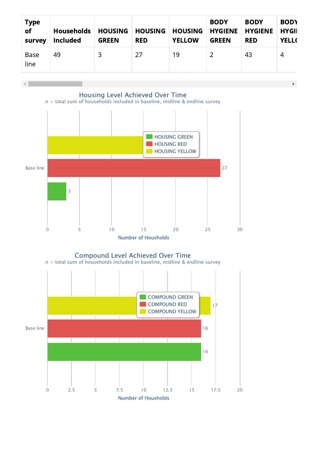

 $\mathbf{F}^{\top}$ 



Number of Housholds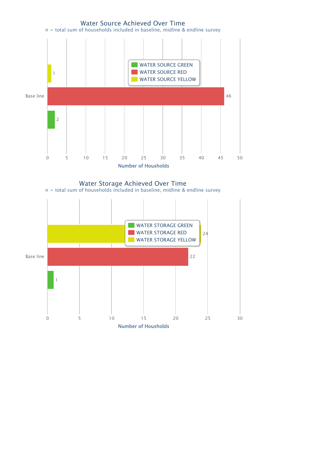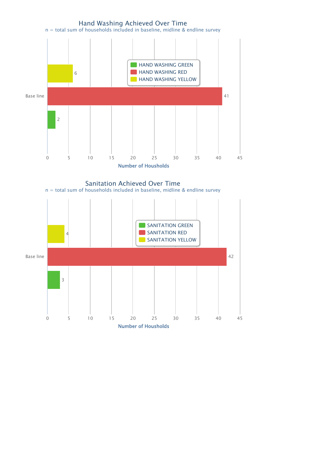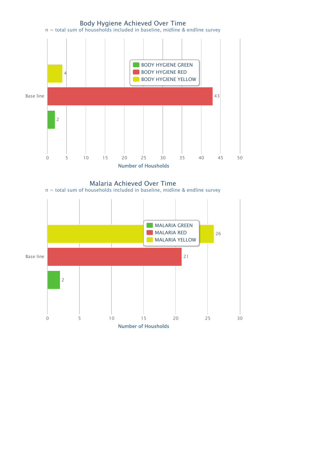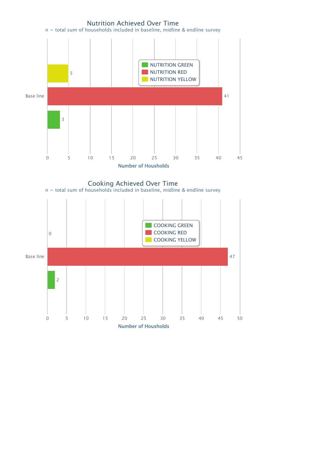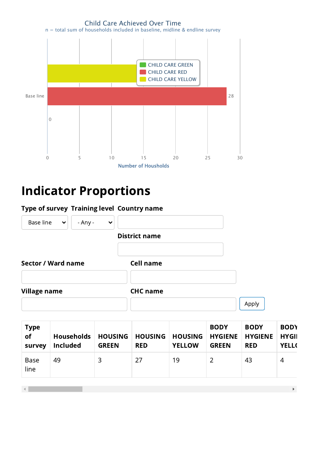

## Indicator Proportions

| Type of survey Training level Country name |           |              |                      |       |
|--------------------------------------------|-----------|--------------|----------------------|-------|
| Base line<br>$\checkmark$                  | $- Any -$ | $\checkmark$ |                      |       |
|                                            |           |              | <b>District name</b> |       |
| <b>Sector / Ward name</b>                  |           |              | <b>Cell name</b>     |       |
| <b>Village name</b>                        |           |              | <b>CHC</b> name      |       |
|                                            |           |              |                      | Apply |

| <b>Type</b><br>of<br>survey | <b>Households</b><br><b>Included</b> | <b>HOUSING</b><br><b>GREEN</b> | <b>HOUSING</b><br><b>RED</b> | <b>HOUSING</b><br><b>YELLOW</b> | <b>BODY</b><br><b>HYGIENE</b><br><b>GREEN</b> | <b>BODY</b><br><b>HYGIENE</b><br><b>RED</b> | <b>BODY</b><br><b>HYGII</b><br><b>YELL(</b> |
|-----------------------------|--------------------------------------|--------------------------------|------------------------------|---------------------------------|-----------------------------------------------|---------------------------------------------|---------------------------------------------|
| <b>Base</b><br>line         | 49                                   | 3                              | 27                           | 19                              |                                               | 43                                          | 4                                           |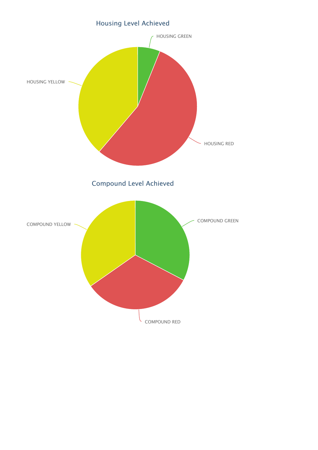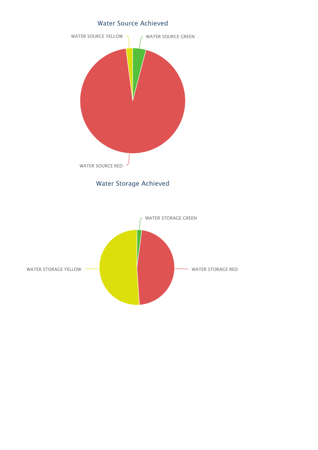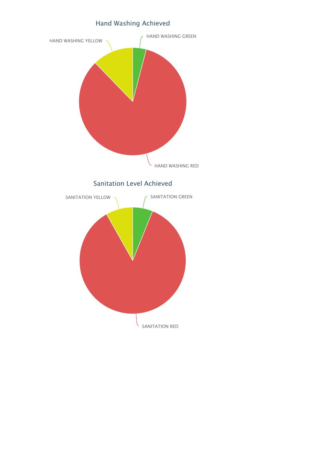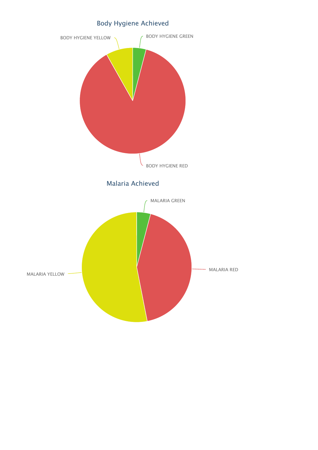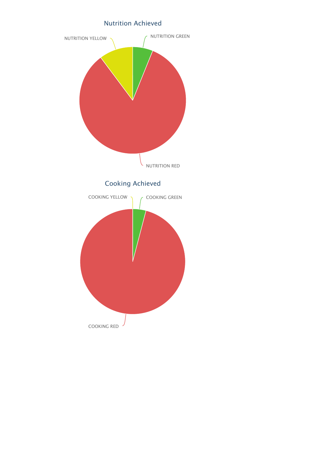